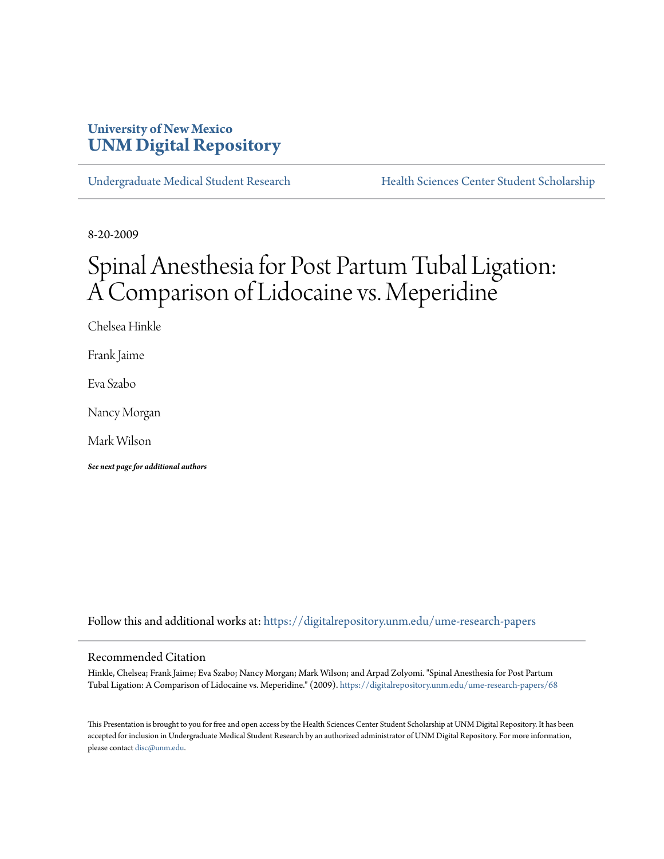## **University of New Mexico [UNM Digital Repository](https://digitalrepository.unm.edu?utm_source=digitalrepository.unm.edu%2Fume-research-papers%2F68&utm_medium=PDF&utm_campaign=PDFCoverPages)**

[Undergraduate Medical Student Research](https://digitalrepository.unm.edu/ume-research-papers?utm_source=digitalrepository.unm.edu%2Fume-research-papers%2F68&utm_medium=PDF&utm_campaign=PDFCoverPages) [Health Sciences Center Student Scholarship](https://digitalrepository.unm.edu/hsc-students?utm_source=digitalrepository.unm.edu%2Fume-research-papers%2F68&utm_medium=PDF&utm_campaign=PDFCoverPages)

8-20-2009

# Spinal Anesthesia for Post Partum Tubal Ligation: A Comparison of Lidocaine vs. Meperidine

Chelsea Hinkle

Frank Jaime

Eva Szabo

Nancy Morgan

Mark Wilson

*See next page for additional authors*

Follow this and additional works at: [https://digitalrepository.unm.edu/ume-research-papers](https://digitalrepository.unm.edu/ume-research-papers?utm_source=digitalrepository.unm.edu%2Fume-research-papers%2F68&utm_medium=PDF&utm_campaign=PDFCoverPages)

#### Recommended Citation

Hinkle, Chelsea; Frank Jaime; Eva Szabo; Nancy Morgan; Mark Wilson; and Arpad Zolyomi. "Spinal Anesthesia for Post Partum Tubal Ligation: A Comparison of Lidocaine vs. Meperidine." (2009). [https://digitalrepository.unm.edu/ume-research-papers/68](https://digitalrepository.unm.edu/ume-research-papers/68?utm_source=digitalrepository.unm.edu%2Fume-research-papers%2F68&utm_medium=PDF&utm_campaign=PDFCoverPages)

This Presentation is brought to you for free and open access by the Health Sciences Center Student Scholarship at UNM Digital Repository. It has been accepted for inclusion in Undergraduate Medical Student Research by an authorized administrator of UNM Digital Repository. For more information, please contact [disc@unm.edu.](mailto:disc@unm.edu)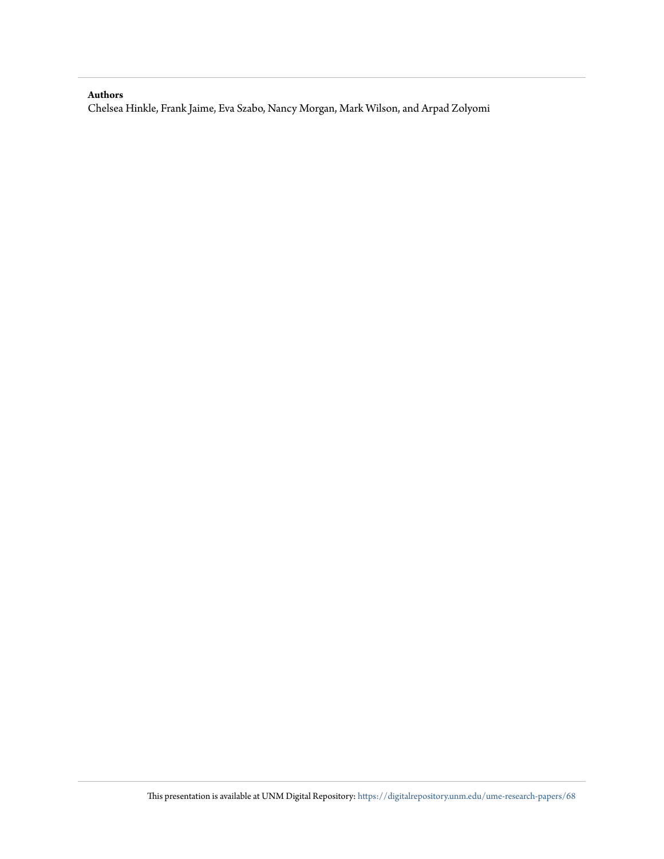#### **Authors**

Chelsea Hinkle, Frank Jaime, Eva Szabo, Nancy Morgan, Mark Wilson, and Arpad Zolyomi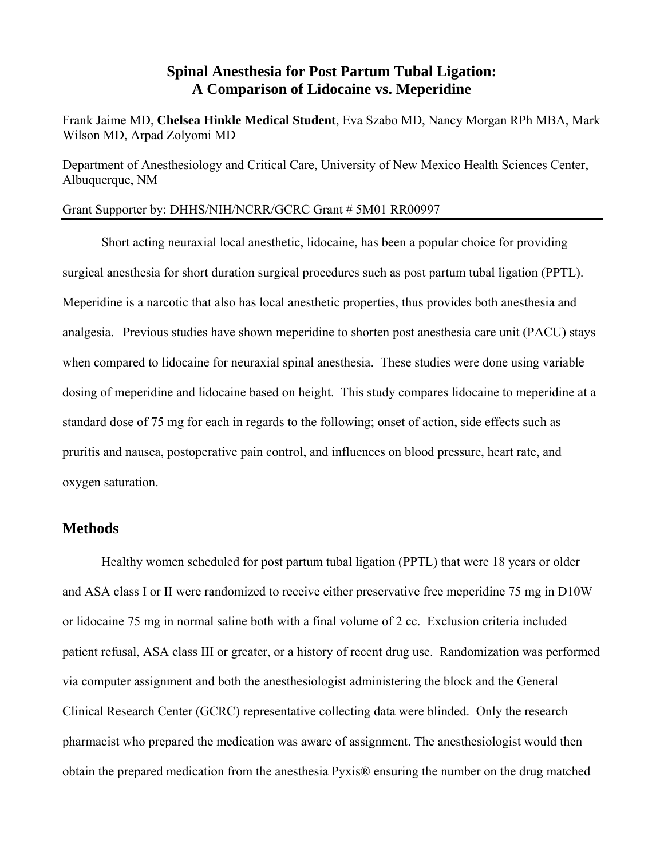## **Spinal Anesthesia for Post Partum Tubal Ligation: A Comparison of Lidocaine vs. Meperidine**

Frank Jaime MD, **Chelsea Hinkle Medical Student**, Eva Szabo MD, Nancy Morgan RPh MBA, Mark Wilson MD, Arpad Zolyomi MD

Department of Anesthesiology and Critical Care, University of New Mexico Health Sciences Center, Albuquerque, NM

### Grant Supporter by: DHHS/NIH/NCRR/GCRC Grant # 5M01 RR00997

Short acting neuraxial local anesthetic, lidocaine, has been a popular choice for providing surgical anesthesia for short duration surgical procedures such as post partum tubal ligation (PPTL). Meperidine is a narcotic that also has local anesthetic properties, thus provides both anesthesia and analgesia. Previous studies have shown meperidine to shorten post anesthesia care unit (PACU) stays when compared to lidocaine for neuraxial spinal anesthesia. These studies were done using variable dosing of meperidine and lidocaine based on height. This study compares lidocaine to meperidine at a standard dose of 75 mg for each in regards to the following; onset of action, side effects such as pruritis and nausea, postoperative pain control, and influences on blood pressure, heart rate, and oxygen saturation.

### **Methods**

Healthy women scheduled for post partum tubal ligation (PPTL) that were 18 years or older and ASA class I or II were randomized to receive either preservative free meperidine 75 mg in D10W or lidocaine 75 mg in normal saline both with a final volume of 2 cc. Exclusion criteria included patient refusal, ASA class III or greater, or a history of recent drug use. Randomization was performed via computer assignment and both the anesthesiologist administering the block and the General Clinical Research Center (GCRC) representative collecting data were blinded. Only the research pharmacist who prepared the medication was aware of assignment. The anesthesiologist would then obtain the prepared medication from the anesthesia Pyxis® ensuring the number on the drug matched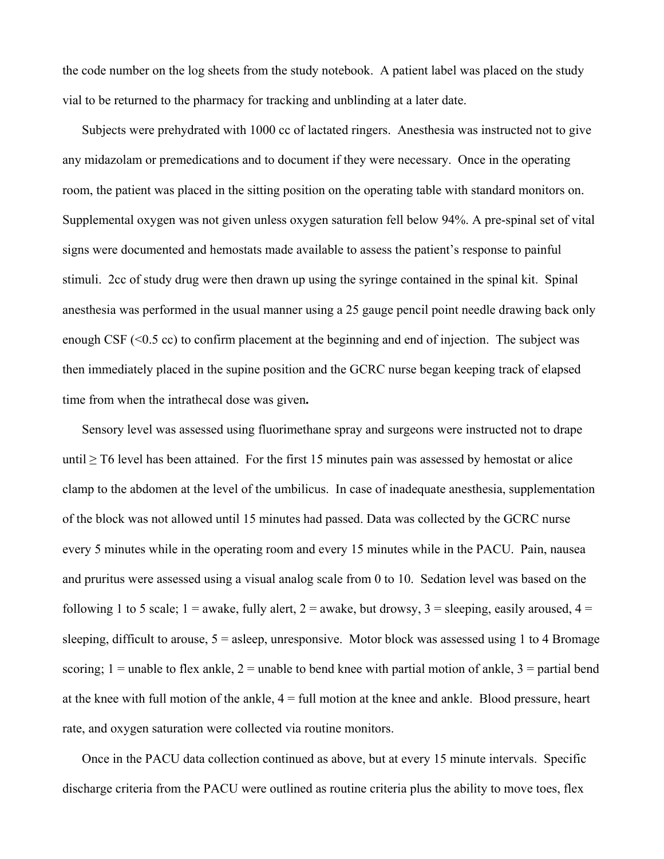the code number on the log sheets from the study notebook. A patient label was placed on the study vial to be returned to the pharmacy for tracking and unblinding at a later date.

Subjects were prehydrated with 1000 cc of lactated ringers. Anesthesia was instructed not to give any midazolam or premedications and to document if they were necessary. Once in the operating room, the patient was placed in the sitting position on the operating table with standard monitors on. Supplemental oxygen was not given unless oxygen saturation fell below 94%. A pre-spinal set of vital signs were documented and hemostats made available to assess the patient's response to painful stimuli. 2cc of study drug were then drawn up using the syringe contained in the spinal kit. Spinal anesthesia was performed in the usual manner using a 25 gauge pencil point needle drawing back only enough CSF (<0.5 cc) to confirm placement at the beginning and end of injection. The subject was then immediately placed in the supine position and the GCRC nurse began keeping track of elapsed time from when the intrathecal dose was given**.** 

Sensory level was assessed using fluorimethane spray and surgeons were instructed not to drape until  $\geq$  T6 level has been attained. For the first 15 minutes pain was assessed by hemostat or alice clamp to the abdomen at the level of the umbilicus. In case of inadequate anesthesia, supplementation of the block was not allowed until 15 minutes had passed. Data was collected by the GCRC nurse every 5 minutes while in the operating room and every 15 minutes while in the PACU. Pain, nausea and pruritus were assessed using a visual analog scale from 0 to 10. Sedation level was based on the following 1 to 5 scale;  $1 =$  awake, fully alert,  $2 =$  awake, but drowsy,  $3 =$  sleeping, easily aroused,  $4 =$ sleeping, difficult to arouse,  $5 =$  asleep, unresponsive. Motor block was assessed using 1 to 4 Bromage scoring;  $1 =$  unable to flex ankle,  $2 =$  unable to bend knee with partial motion of ankle,  $3 =$  partial bend at the knee with full motion of the ankle,  $4 = \text{full motion}$  at the knee and ankle. Blood pressure, heart rate, and oxygen saturation were collected via routine monitors.

Once in the PACU data collection continued as above, but at every 15 minute intervals. Specific discharge criteria from the PACU were outlined as routine criteria plus the ability to move toes, flex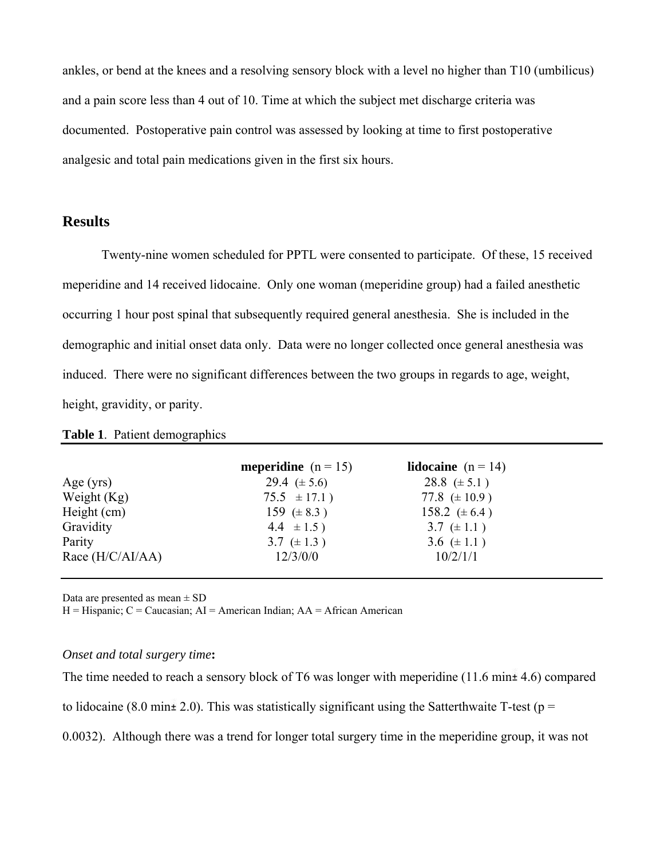ankles, or bend at the knees and a resolving sensory block with a level no higher than T10 (umbilicus) and a pain score less than 4 out of 10. Time at which the subject met discharge criteria was documented. Postoperative pain control was assessed by looking at time to first postoperative analgesic and total pain medications given in the first six hours.

### **Results**

Twenty-nine women scheduled for PPTL were consented to participate. Of these, 15 received meperidine and 14 received lidocaine. Only one woman (meperidine group) had a failed anesthetic occurring 1 hour post spinal that subsequently required general anesthesia. She is included in the demographic and initial onset data only. Data were no longer collected once general anesthesia was induced. There were no significant differences between the two groups in regards to age, weight, height, gravidity, or parity.

### **Table 1**. Patient demographics

|                    | <b>meperidine</b> $(n = 15)$ | <b>lidocaine</b> $(n = 14)$ |
|--------------------|------------------------------|-----------------------------|
| Age $(yrs)$        | 29.4 $(\pm 5.6)$             | $28.8 \ (\pm 5.1)$          |
| Weight $(Kg)$      | $75.5 \pm 17.1$ )            | 77.8 $(\pm 10.9)$           |
| Height (cm)        | 159 $(\pm 8.3)$              | 158.2 $(\pm 6.4)$           |
| Gravidity          | $4.4 \pm 1.5$ )              | 3.7 $(\pm 1.1)$             |
| Parity             | 3.7 $(\pm 1.3)$              | 3.6 $(\pm 1.1)$             |
| Race $(H/C/AI/AA)$ | 12/3/0/0                     | 10/2/1/1                    |

Data are presented as mean  $\pm$  SD

 $H = H$ ispanic;  $C =$  Caucasian;  $AI =$  American Indian;  $AA =$  African American

### *Onset and total surgery time***:**

The time needed to reach a sensory block of T6 was longer with meperidine  $(11.6 \text{ min} \pm 4.6)$  compared

to lidocaine (8.0 min  $\pm$  2.0). This was statistically significant using the Satterthwaite T-test (p =

0.0032). Although there was a trend for longer total surgery time in the meperidine group, it was not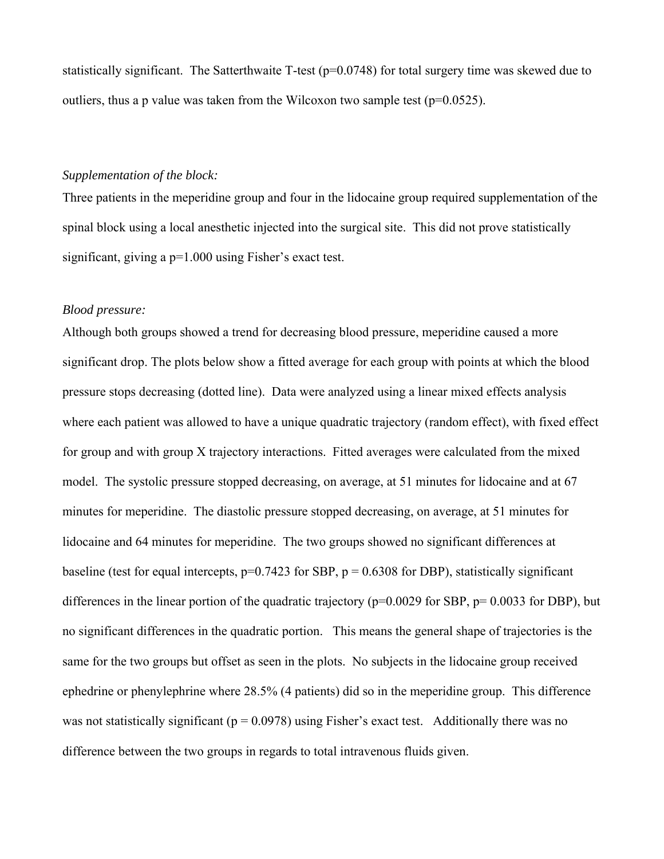statistically significant. The Satterthwaite T-test (p=0.0748) for total surgery time was skewed due to outliers, thus a p value was taken from the Wilcoxon two sample test ( $p=0.0525$ ).

### *Supplementation of the block:*

Three patients in the meperidine group and four in the lidocaine group required supplementation of the spinal block using a local anesthetic injected into the surgical site. This did not prove statistically significant, giving a p=1.000 using Fisher's exact test.

### *Blood pressure:*

Although both groups showed a trend for decreasing blood pressure, meperidine caused a more significant drop. The plots below show a fitted average for each group with points at which the blood pressure stops decreasing (dotted line). Data were analyzed using a linear mixed effects analysis where each patient was allowed to have a unique quadratic trajectory (random effect), with fixed effect for group and with group X trajectory interactions. Fitted averages were calculated from the mixed model. The systolic pressure stopped decreasing, on average, at 51 minutes for lidocaine and at 67 minutes for meperidine. The diastolic pressure stopped decreasing, on average, at 51 minutes for lidocaine and 64 minutes for meperidine. The two groups showed no significant differences at baseline (test for equal intercepts,  $p=0.7423$  for SBP,  $p = 0.6308$  for DBP), statistically significant differences in the linear portion of the quadratic trajectory ( $p=0.0029$  for SBP,  $p=0.0033$  for DBP), but no significant differences in the quadratic portion. This means the general shape of trajectories is the same for the two groups but offset as seen in the plots. No subjects in the lidocaine group received ephedrine or phenylephrine where 28.5% (4 patients) did so in the meperidine group. This difference was not statistically significant ( $p = 0.0978$ ) using Fisher's exact test. Additionally there was no difference between the two groups in regards to total intravenous fluids given.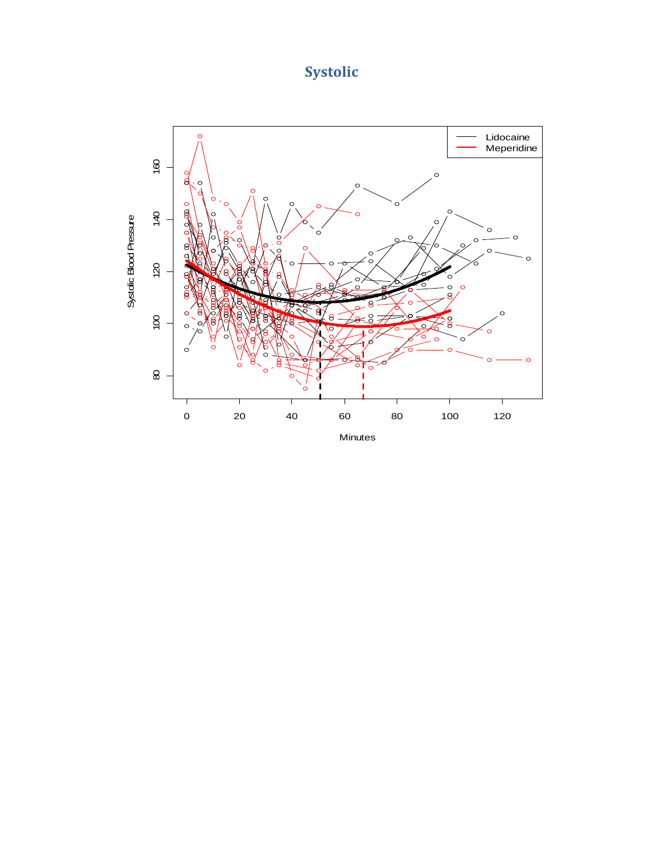## **Systolic**

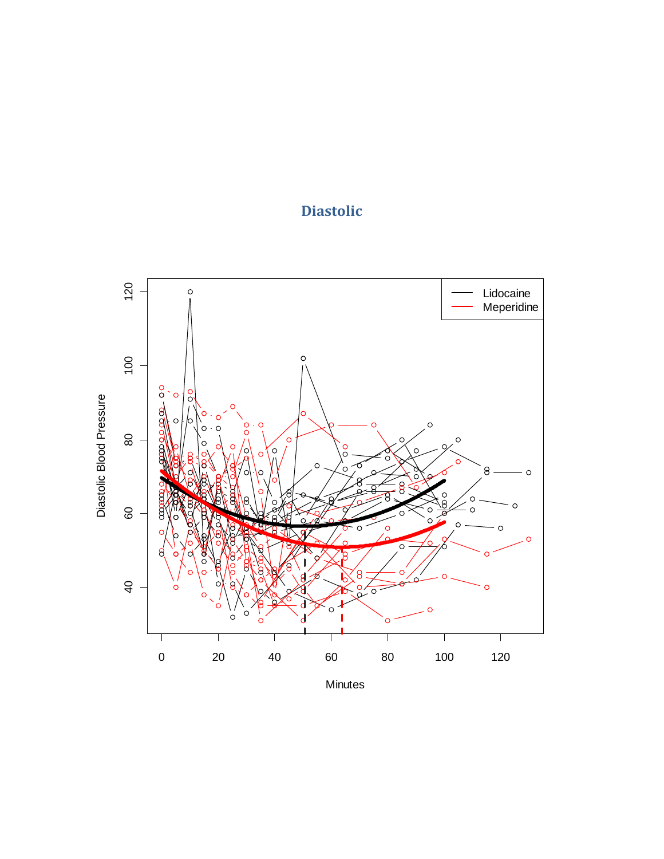## **Diastolic**



Minutes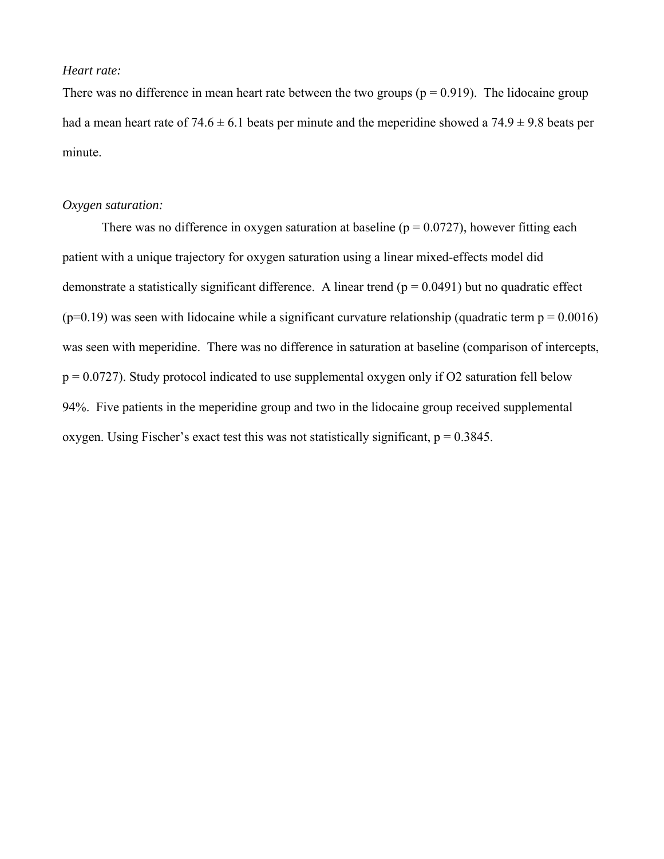### *Heart rate:*

There was no difference in mean heart rate between the two groups ( $p = 0.919$ ). The lidocaine group had a mean heart rate of  $74.6 \pm 6.1$  beats per minute and the meperidine showed a  $74.9 \pm 9.8$  beats per minute.

### *Oxygen saturation:*

There was no difference in oxygen saturation at baseline ( $p = 0.0727$ ), however fitting each patient with a unique trajectory for oxygen saturation using a linear mixed-effects model did demonstrate a statistically significant difference. A linear trend  $(p = 0.0491)$  but no quadratic effect  $(p=0.19)$  was seen with lidocaine while a significant curvature relationship (quadratic term  $p = 0.0016$ ) was seen with meperidine. There was no difference in saturation at baseline (comparison of intercepts,  $p = 0.0727$ ). Study protocol indicated to use supplemental oxygen only if O2 saturation fell below 94%. Five patients in the meperidine group and two in the lidocaine group received supplemental oxygen. Using Fischer's exact test this was not statistically significant,  $p = 0.3845$ .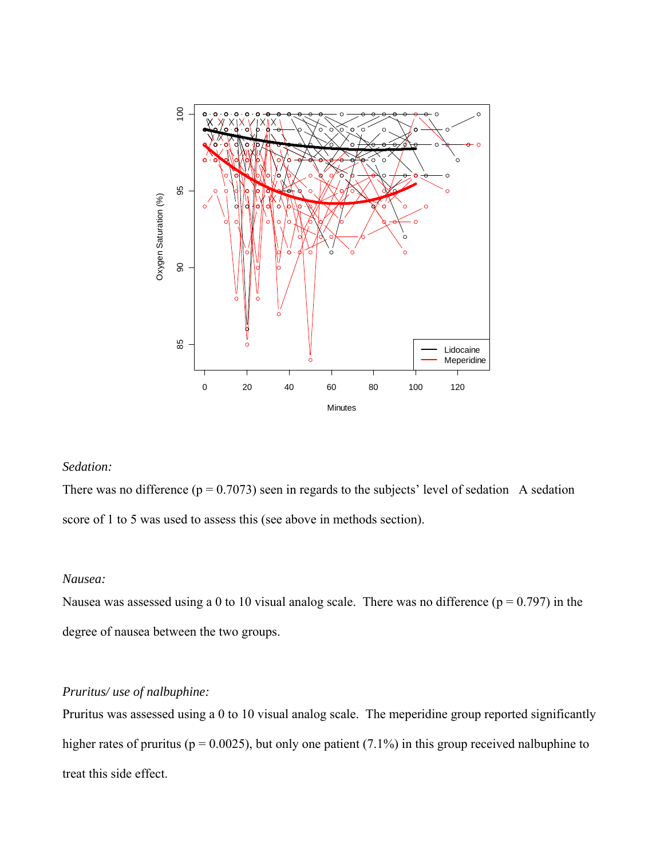

### *Sedation:*

There was no difference ( $p = 0.7073$ ) seen in regards to the subjects' level of sedation A sedation score of 1 to 5 was used to assess this (see above in methods section).

### *Nausea:*

Nausea was assessed using a 0 to 10 visual analog scale. There was no difference ( $p = 0.797$ ) in the degree of nausea between the two groups.

### *Pruritus/ use of nalbuphine:*

Pruritus was assessed using a 0 to 10 visual analog scale. The meperidine group reported significantly higher rates of pruritus ( $p = 0.0025$ ), but only one patient (7.1%) in this group received nalbuphine to treat this side effect.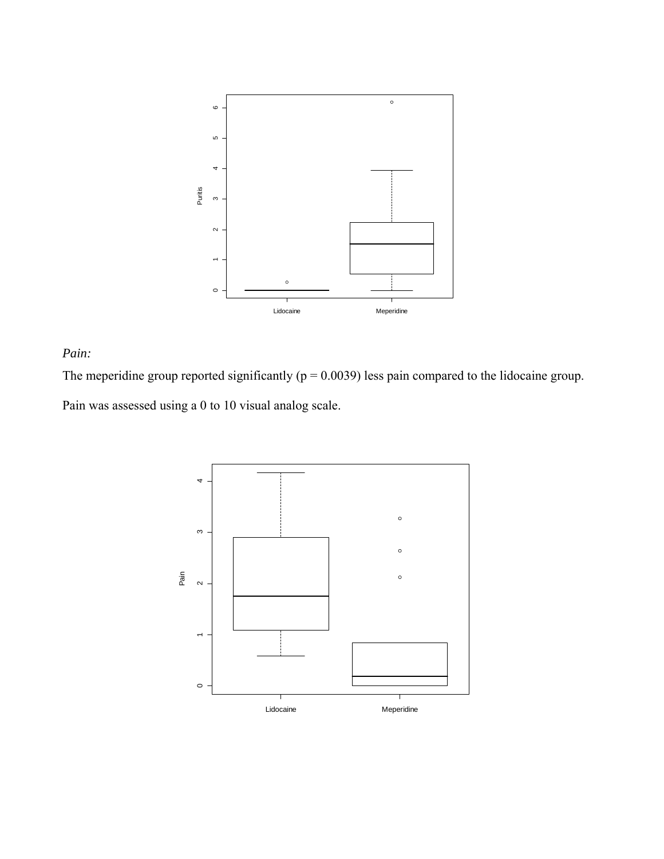

### *Pain:*

The meperidine group reported significantly ( $p = 0.0039$ ) less pain compared to the lidocaine group. Pain was assessed using a 0 to 10 visual analog scale.

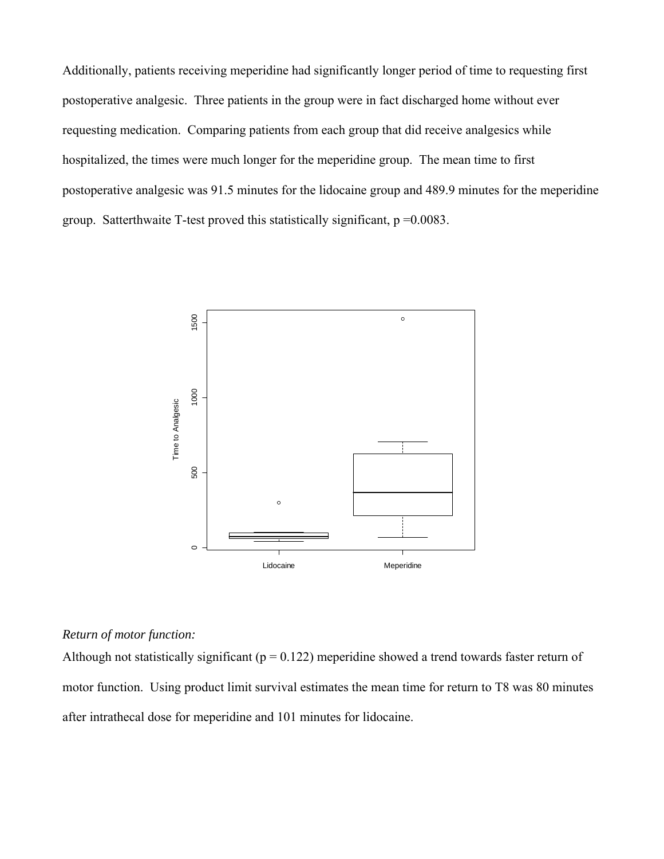Additionally, patients receiving meperidine had significantly longer period of time to requesting first postoperative analgesic. Three patients in the group were in fact discharged home without ever requesting medication. Comparing patients from each group that did receive analgesics while hospitalized, the times were much longer for the meperidine group. The mean time to first postoperative analgesic was 91.5 minutes for the lidocaine group and 489.9 minutes for the meperidine group. Satterthwaite T-test proved this statistically significant,  $p = 0.0083$ .



### *Return of motor function:*

Although not statistically significant ( $p = 0.122$ ) meperidine showed a trend towards faster return of motor function. Using product limit survival estimates the mean time for return to T8 was 80 minutes after intrathecal dose for meperidine and 101 minutes for lidocaine.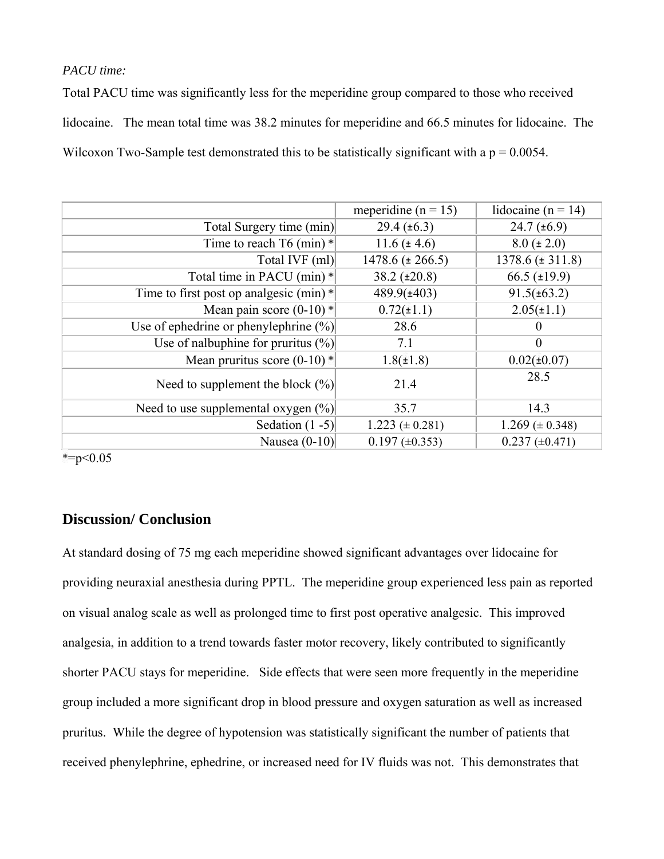### *PACU time:*

Total PACU time was significantly less for the meperidine group compared to those who received lidocaine. The mean total time was 38.2 minutes for meperidine and 66.5 minutes for lidocaine. The Wilcoxon Two-Sample test demonstrated this to be statistically significant with a  $p = 0.0054$ .

|                                           | meperidine ( $n = 15$ ) | lidocaine ( $n = 14$ ) |
|-------------------------------------------|-------------------------|------------------------|
| Total Surgery time (min)                  | $29.4 \ (\pm 6.3)$      | $24.7 \ (\pm 6.9)$     |
| Time to reach $T6$ (min) $*$              | $11.6 (\pm 4.6)$        | $8.0 (\pm 2.0)$        |
| Total IVF (ml)                            | $1478.6 (\pm 266.5)$    | $1378.6 (\pm 311.8)$   |
| Total time in PACU (min) *                | $38.2 \ (\pm 20.8)$     | $66.5 \ (\pm 19.9)$    |
| Time to first post op analgesic (min) $*$ | $489.9(\pm 403)$        | $91.5(\pm 63.2)$       |
| Mean pain score $(0-10)$ *                | $0.72(\pm 1.1)$         | $2.05(\pm 1.1)$        |
| Use of ephedrine or phenylephrine $(\%)$  | 28.6                    | $\theta$               |
| Use of nalbuphine for pruritus $(\%)$     | 7.1                     | $\boldsymbol{0}$       |
| Mean pruritus score $(0-10)$ *            | $1.8(\pm 1.8)$          | $0.02(\pm 0.07)$       |
| Need to supplement the block $(\%)$       | 21.4                    | 28.5                   |
| Need to use supplemental oxygen $(\%)$    | 35.7                    | 14.3                   |
| Sedation $(1 - 5)$                        | $1.223 \ (\pm 0.281)$   | $1.269 \ (\pm 0.348)$  |
| Nausea $(0-10)$                           | $0.197 \ (\pm 0.353)$   | $0.237 (\pm 0.471)$    |

 $* = p < 0.05$ 

### **Discussion/ Conclusion**

At standard dosing of 75 mg each meperidine showed significant advantages over lidocaine for providing neuraxial anesthesia during PPTL. The meperidine group experienced less pain as reported on visual analog scale as well as prolonged time to first post operative analgesic. This improved analgesia, in addition to a trend towards faster motor recovery, likely contributed to significantly shorter PACU stays for meperidine. Side effects that were seen more frequently in the meperidine group included a more significant drop in blood pressure and oxygen saturation as well as increased pruritus. While the degree of hypotension was statistically significant the number of patients that received phenylephrine, ephedrine, or increased need for IV fluids was not. This demonstrates that